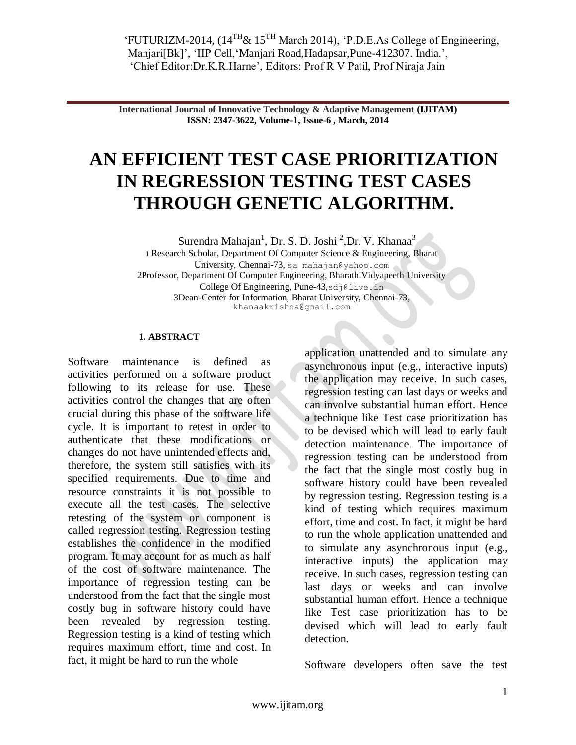**International Journal of Innovative Technology & Adaptive Management (IJITAM) ISSN: 2347-3622, Volume-1, Issue-6 , March, 2014**

# **AN EFFICIENT TEST CASE PRIORITIZATION IN REGRESSION TESTING TEST CASES THROUGH GENETIC ALGORITHM.**

Surendra Mahajan<sup>1</sup>, Dr. S. D. Joshi<sup>2</sup>, Dr. V. Khanaa<sup>3</sup> 1 Research Scholar, Department Of Computer Science & Engineering, Bharat University, Chennai-73, sa\_mahajan@yahoo.com 2Professor, Department Of Computer Engineering, BharathiVidyapeeth University College Of Engineering, Pune-43,sdj@live.in 3Dean-Center for Information, Bharat University, Chennai-73, khanaakrishna@gmail.com

## **1. ABSTRACT**

Software maintenance is defined as activities performed on a software product following to its release for use. These activities control the changes that are often crucial during this phase of the software life cycle. It is important to retest in order to authenticate that these modifications or changes do not have unintended effects and, therefore, the system still satisfies with its specified requirements. Due to time and resource constraints it is not possible to execute all the test cases. The selective retesting of the system or component is called regression testing. Regression testing establishes the confidence in the modified program. It may account for as much as half of the cost of software maintenance. The importance of regression testing can be understood from the fact that the single most costly bug in software history could have been revealed by regression testing. Regression testing is a kind of testing which requires maximum effort, time and cost. In fact, it might be hard to run the whole

application unattended and to simulate any asynchronous input (e.g., interactive inputs) the application may receive. In such cases, regression testing can last days or weeks and can involve substantial human effort. Hence a technique like Test case prioritization has to be devised which will lead to early fault detection maintenance. The importance of regression testing can be understood from the fact that the single most costly bug in software history could have been revealed by regression testing. Regression testing is a kind of testing which requires maximum effort, time and cost. In fact, it might be hard to run the whole application unattended and to simulate any asynchronous input (e.g., interactive inputs) the application may receive. In such cases, regression testing can last days or weeks and can involve substantial human effort. Hence a technique like Test case prioritization has to be devised which will lead to early fault detection.

Software developers often save the test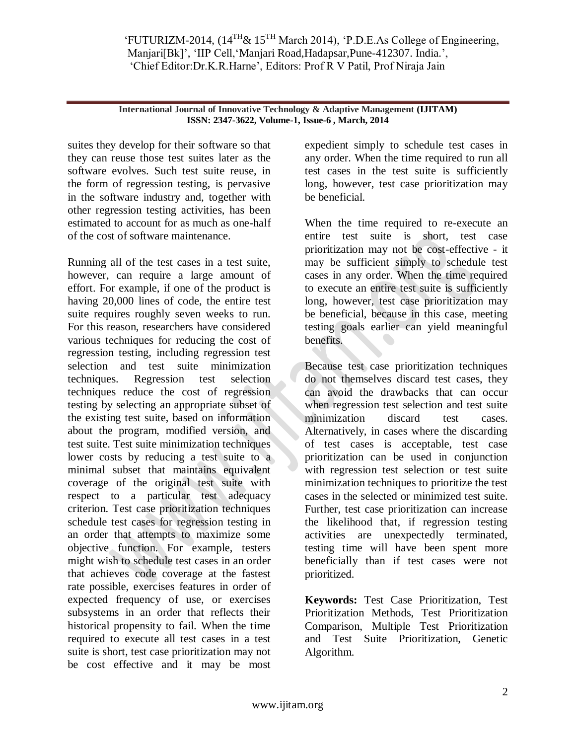**International Journal of Innovative Technology & Adaptive Management (IJITAM) ISSN: 2347-3622, Volume-1, Issue-6 , March, 2014**

suites they develop for their software so that they can reuse those test suites later as the software evolves. Such test suite reuse, in the form of regression testing, is pervasive in the software industry and, together with other regression testing activities, has been estimated to account for as much as one-half of the cost of software maintenance.

Running all of the test cases in a test suite, however, can require a large amount of effort. For example, if one of the product is having 20,000 lines of code, the entire test suite requires roughly seven weeks to run. For this reason, researchers have considered various techniques for reducing the cost of regression testing, including regression test selection and test suite minimization techniques. Regression test selection techniques reduce the cost of regression testing by selecting an appropriate subset of the existing test suite, based on information about the program, modified version, and test suite. Test suite minimization techniques lower costs by reducing a test suite to a minimal subset that maintains equivalent coverage of the original test suite with respect to a particular test adequacy criterion. Test case prioritization techniques schedule test cases for regression testing in an order that attempts to maximize some objective function. For example, testers might wish to schedule test cases in an order that achieves code coverage at the fastest rate possible, exercises features in order of expected frequency of use, or exercises subsystems in an order that reflects their historical propensity to fail. When the time required to execute all test cases in a test suite is short, test case prioritization may not be cost effective and it may be most

expedient simply to schedule test cases in any order. When the time required to run all test cases in the test suite is sufficiently long, however, test case prioritization may be beneficial.

When the time required to re-execute an entire test suite is short, test case prioritization may not be cost-effective - it may be sufficient simply to schedule test cases in any order. When the time required to execute an entire test suite is sufficiently long, however, test case prioritization may be beneficial, because in this case, meeting testing goals earlier can yield meaningful benefits.

Because test case prioritization techniques do not themselves discard test cases, they can avoid the drawbacks that can occur when regression test selection and test suite minimization discard test cases. Alternatively, in cases where the discarding of test cases is acceptable, test case prioritization can be used in conjunction with regression test selection or test suite minimization techniques to prioritize the test cases in the selected or minimized test suite. Further, test case prioritization can increase the likelihood that, if regression testing activities are unexpectedly terminated, testing time will have been spent more beneficially than if test cases were not prioritized.

**Keywords:** Test Case Prioritization, Test Prioritization Methods, Test Prioritization Comparison, Multiple Test Prioritization and Test Suite Prioritization, Genetic Algorithm.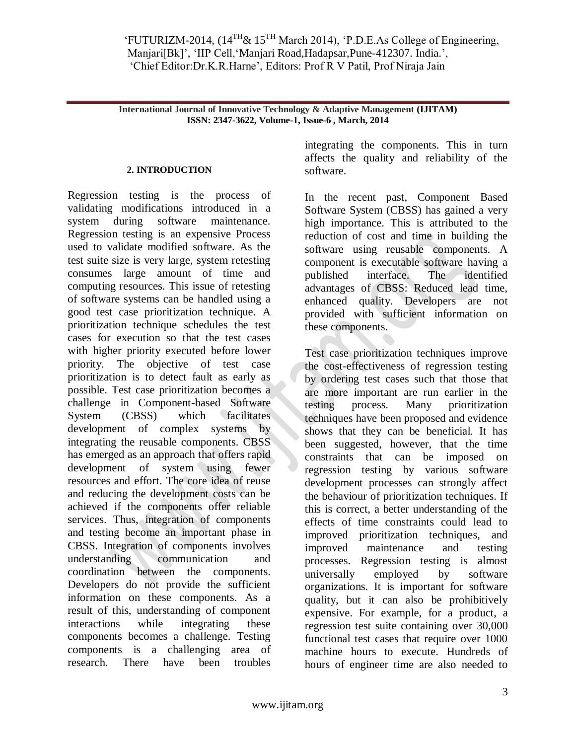**International Journal of Innovative Technology & Adaptive Management (IJITAM) ISSN: 2347-3622, Volume-1, Issue-6 , March, 2014**

### **2. INTRODUCTION**

Regression testing is the process of validating modifications introduced in a system during software maintenance. Regression testing is an expensive Process used to validate modified software. As the test suite size is very large, system retesting consumes large amount of time and computing resources. This issue of retesting of software systems can be handled using a good test case prioritization technique. A prioritization technique schedules the test cases for execution so that the test cases with higher priority executed before lower priority. The objective of test case prioritization is to detect fault as early as possible. Test case prioritization becomes a challenge in Component-based Software System (CBSS) which facilitates development of complex systems by integrating the reusable components. CBSS has emerged as an approach that offers rapid development of system using fewer resources and effort. The core idea of reuse and reducing the development costs can be achieved if the components offer reliable services. Thus, integration of components and testing become an important phase in CBSS. Integration of components involves understanding communication and coordination between the components. Developers do not provide the sufficient information on these components. As a result of this, understanding of component interactions while integrating these components becomes a challenge. Testing components is a challenging area of research. There have been troubles

integrating the components. This in turn affects the quality and reliability of the software.

In the recent past, Component Based Software System (CBSS) has gained a very high importance. This is attributed to the reduction of cost and time in building the software using reusable components. A component is executable software having a published interface. The identified advantages of CBSS: Reduced lead time, enhanced quality. Developers are not provided with sufficient information on these components.

Test case prioritization techniques improve the cost-effectiveness of regression testing by ordering test cases such that those that are more important are run earlier in the testing process. Many prioritization techniques have been proposed and evidence shows that they can be beneficial. It has been suggested, however, that the time constraints that can be imposed on regression testing by various software development processes can strongly affect the behaviour of prioritization techniques. If this is correct, a better understanding of the effects of time constraints could lead to improved prioritization techniques, and improved maintenance and testing processes. Regression testing is almost universally employed by software organizations. It is important for software quality, but it can also be prohibitively expensive. For example, for a product, a regression test suite containing over 30,000 functional test cases that require over 1000 machine hours to execute. Hundreds of hours of engineer time are also needed to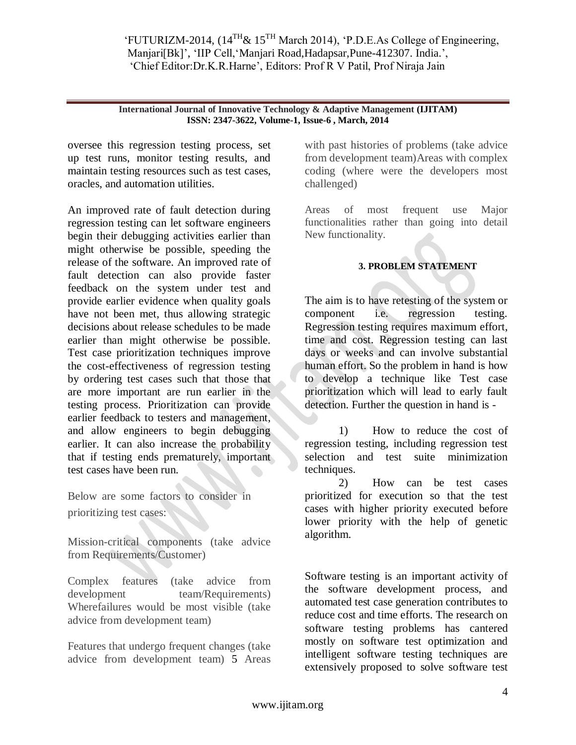#### **International Journal of Innovative Technology & Adaptive Management (IJITAM) ISSN: 2347-3622, Volume-1, Issue-6 , March, 2014**

oversee this regression testing process, set up test runs, monitor testing results, and maintain testing resources such as test cases, oracles, and automation utilities.

An improved rate of fault detection during regression testing can let software engineers begin their debugging activities earlier than might otherwise be possible, speeding the release of the software. An improved rate of fault detection can also provide faster feedback on the system under test and provide earlier evidence when quality goals have not been met, thus allowing strategic decisions about release schedules to be made earlier than might otherwise be possible. Test case prioritization techniques improve the cost-effectiveness of regression testing by ordering test cases such that those that are more important are run earlier in the testing process. Prioritization can provide earlier feedback to testers and management, and allow engineers to begin debugging earlier. It can also increase the probability that if testing ends prematurely, important test cases have been run.

Below are some factors to consider in prioritizing test cases:

Mission-critical components (take advice from Requirements/Customer)

Complex features (take advice from development team/Requirements) Wherefailures would be most visible (take advice from development team)

Features that undergo frequent changes (take advice from development team) 5 Areas

with past histories of problems (take advice from development team)Areas with complex coding (where were the developers most challenged)

Areas of most frequent use Major functionalities rather than going into detail New functionality.

# **3. PROBLEM STATEMENT**

The aim is to have retesting of the system or component i.e. regression testing. Regression testing requires maximum effort, time and cost. Regression testing can last days or weeks and can involve substantial human effort. So the problem in hand is how to develop a technique like Test case prioritization which will lead to early fault detection. Further the question in hand is -

1) How to reduce the cost of regression testing, including regression test selection and test suite minimization techniques.

2) How can be test cases prioritized for execution so that the test cases with higher priority executed before lower priority with the help of genetic algorithm.

Software testing is an important activity of the software development process, and automated test case generation contributes to reduce cost and time efforts. The research on software testing problems has cantered mostly on software test optimization and intelligent software testing techniques are extensively proposed to solve software test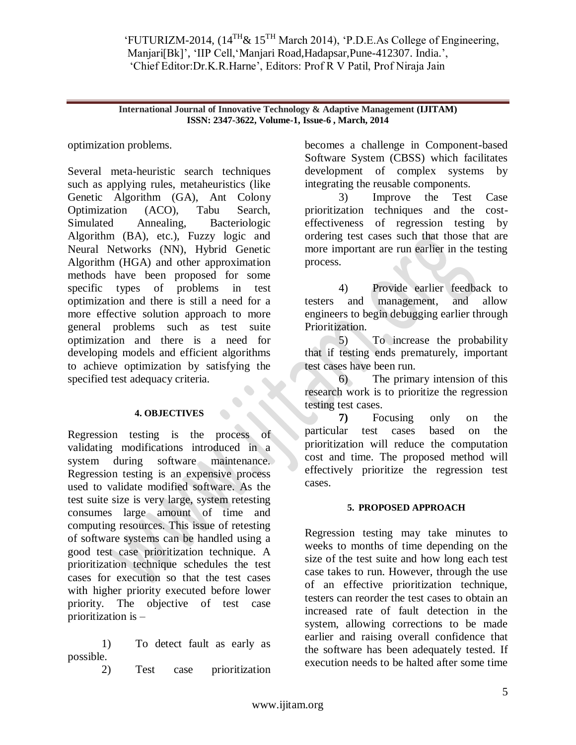**International Journal of Innovative Technology & Adaptive Management (IJITAM) ISSN: 2347-3622, Volume-1, Issue-6 , March, 2014**

optimization problems.

Several meta-heuristic search techniques such as applying rules, metaheuristics (like Genetic Algorithm (GA), Ant Colony Optimization (ACO), Tabu Search, Simulated Annealing, Bacteriologic Algorithm (BA), etc.), Fuzzy logic and Neural Networks (NN), Hybrid Genetic Algorithm (HGA) and other approximation methods have been proposed for some specific types of problems in test optimization and there is still a need for a more effective solution approach to more general problems such as test suite optimization and there is a need for developing models and efficient algorithms to achieve optimization by satisfying the specified test adequacy criteria.

## **4. OBJECTIVES**

Regression testing is the process of validating modifications introduced in a system during software maintenance. Regression testing is an expensive process used to validate modified software. As the test suite size is very large, system retesting consumes large amount of time and computing resources. This issue of retesting of software systems can be handled using a good test case prioritization technique. A prioritization technique schedules the test cases for execution so that the test cases with higher priority executed before lower priority. The objective of test case prioritization is –

1) To detect fault as early as possible.

2) Test case prioritization

becomes a challenge in Component-based Software System (CBSS) which facilitates development of complex systems by integrating the reusable components.

3) Improve the Test Case prioritization techniques and the costeffectiveness of regression testing by ordering test cases such that those that are more important are run earlier in the testing process.

4) Provide earlier feedback to testers and management, and allow engineers to begin debugging earlier through Prioritization.

5) To increase the probability that if testing ends prematurely, important test cases have been run.

6) The primary intension of this research work is to prioritize the regression testing test cases.

**7)** Focusing only on the particular test cases based on the prioritization will reduce the computation cost and time. The proposed method will effectively prioritize the regression test cases.

# **5. PROPOSED APPROACH**

Regression testing may take minutes to weeks to months of time depending on the size of the test suite and how long each test case takes to run. However, through the use of an effective prioritization technique, testers can reorder the test cases to obtain an increased rate of fault detection in the system, allowing corrections to be made earlier and raising overall confidence that the software has been adequately tested. If execution needs to be halted after some time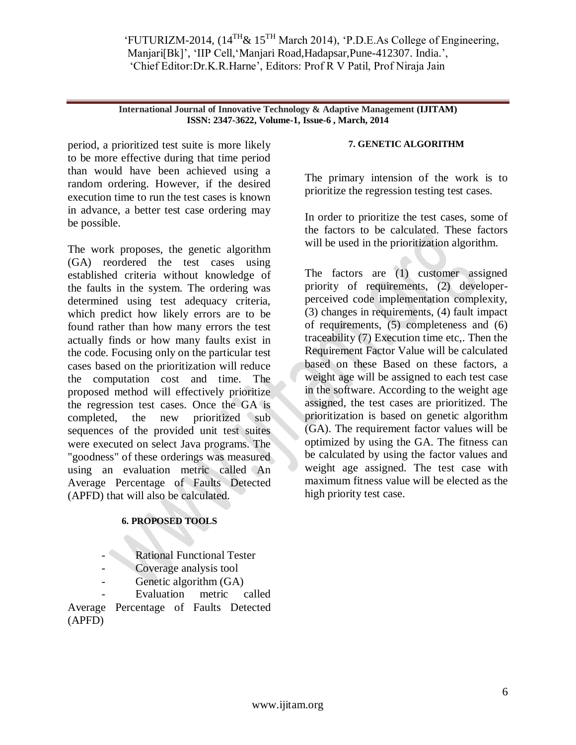#### **International Journal of Innovative Technology & Adaptive Management (IJITAM) ISSN: 2347-3622, Volume-1, Issue-6 , March, 2014**

period, a prioritized test suite is more likely to be more effective during that time period than would have been achieved using a random ordering. However, if the desired execution time to run the test cases is known in advance, a better test case ordering may be possible.

The work proposes, the genetic algorithm (GA) reordered the test cases using established criteria without knowledge of the faults in the system. The ordering was determined using test adequacy criteria, which predict how likely errors are to be found rather than how many errors the test actually finds or how many faults exist in the code. Focusing only on the particular test cases based on the prioritization will reduce the computation cost and time. The proposed method will effectively prioritize the regression test cases. Once the GA is completed, the new prioritized subsequences of the provided unit test suites were executed on select Java programs. The "goodness" of these orderings was measured using an evaluation metric called An Average Percentage of Faults Detected (APFD) that will also be calculated.

## **6. PROPOSED TOOLS**

- Rational Functional Tester
- Coverage analysis tool
- Genetic algorithm (GA)

Evaluation metric called Average Percentage of Faults Detected (APFD)

#### **7. GENETIC ALGORITHM**

The primary intension of the work is to prioritize the regression testing test cases.

In order to prioritize the test cases, some of the factors to be calculated. These factors will be used in the prioritization algorithm.

The factors are (1) customer assigned priority of requirements, (2) developerperceived code implementation complexity, (3) changes in requirements, (4) fault impact of requirements, (5) completeness and (6) traceability (7) Execution time etc,. Then the Requirement Factor Value will be calculated based on these Based on these factors, a weight age will be assigned to each test case in the software. According to the weight age assigned, the test cases are prioritized. The prioritization is based on genetic algorithm (GA). The requirement factor values will be optimized by using the GA. The fitness can be calculated by using the factor values and weight age assigned. The test case with maximum fitness value will be elected as the high priority test case.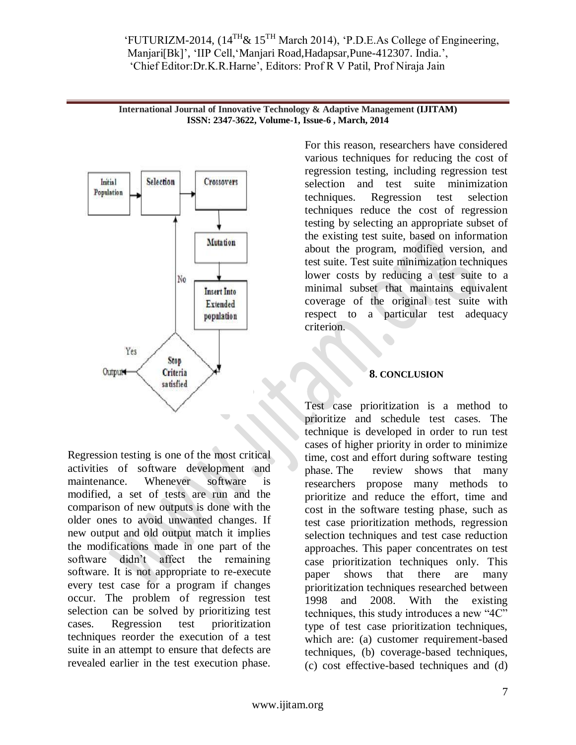



Regression testing is one of the most critical activities of software development and maintenance. Whenever software is modified, a set of tests are run and the comparison of new outputs is done with the older ones to avoid unwanted changes. If new output and old output match it implies the modifications made in one part of the software didn"t affect the remaining software. It is not appropriate to re-execute every test case for a program if changes occur. The problem of regression test selection can be solved by prioritizing test cases. Regression test prioritization techniques reorder the execution of a test suite in an attempt to ensure that defects are revealed earlier in the test execution phase.

For this reason, researchers have considered various techniques for reducing the cost of regression testing, including regression test selection and test suite minimization techniques. Regression test selection techniques reduce the cost of regression testing by selecting an appropriate subset of the existing test suite, based on information about the program, modified version, and test suite. Test suite minimization techniques lower costs by reducing a test suite to a minimal subset that maintains equivalent coverage of the original test suite with respect to a particular test adequacy criterion.

# **8. CONCLUSION**

Test case prioritization is a method to prioritize and schedule test cases. The technique is developed in order to run test cases of higher priority in order to minimize time, cost and effort during software testing phase. The review shows that many researchers propose many methods to prioritize and reduce the effort, time and cost in the software testing phase, such as test case prioritization methods, regression selection techniques and test case reduction approaches. This paper concentrates on test case prioritization techniques only. This paper shows that there are many prioritization techniques researched between 1998 and 2008. With the existing techniques, this study introduces a new "4C" type of test case prioritization techniques, which are: (a) customer requirement-based techniques, (b) coverage-based techniques, (c) cost effective-based techniques and (d)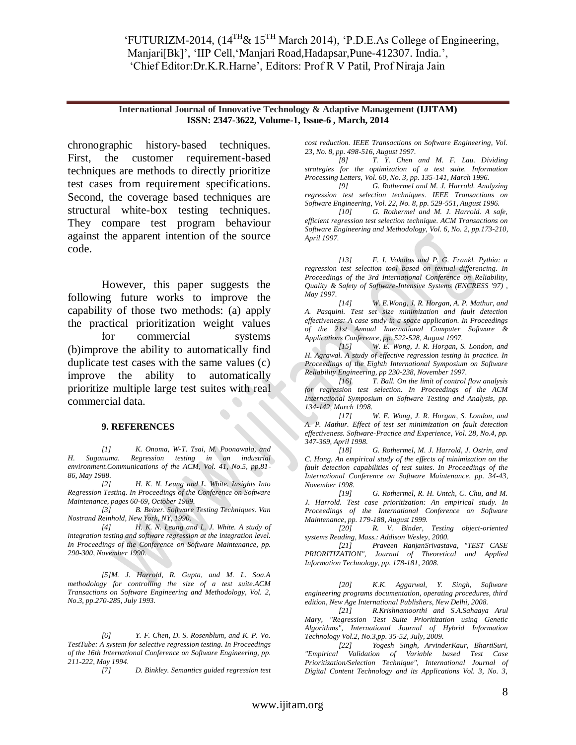#### **International Journal of Innovative Technology & Adaptive Management (IJITAM) ISSN: 2347-3622, Volume-1, Issue-6 , March, 2014**

chronographic history-based techniques. First, the customer requirement-based techniques are methods to directly prioritize test cases from requirement specifications. Second, the coverage based techniques are structural white-box testing techniques. They compare test program behaviour against the apparent intention of the source code.

However, this paper suggests the following future works to improve the capability of those two methods: (a) apply the practical prioritization weight values for commercial systems (b)improve the ability to automatically find duplicate test cases with the same values (c) improve the ability to automatically prioritize multiple large test suites with real commercial data.

#### **9. REFERENCES**

*[1] K. Onoma, W-T. Tsai, M. Poonawala, and H. Suganuma. Regression testing in an industrial environment.Communications of the ACM, Vol. 41, No.5, pp.81- 86, May 1988.* 

*[2] H. K. N. Leung and L. White. Insights Into Regression Testing. In Proceedings of the Conference on Software Maintenance, pages 60-69, October 1989.* 

*[3] B. Beizer. Software Testing Techniques. Van Nostrand Reinhold, New York, NY, 1990.* 

*[4] H. K. N. Leung and L. J. White. A study of integration testing and software regression at the integration level. In Proceedings of the Conference on Software Maintenance, pp. 290-300, November 1990.* 

*[5]M. J. Harrold, R. Gupta, and M. L. Soa.A methodology for controlling the size of a test suite.ACM Transactions on Software Engineering and Methodology, Vol. 2, No.3, pp.270-285, July 1993.*

*[6] Y. F. Chen, D. S. Rosenblum, and K. P. Vo. TestTube: A system for selective regression testing. In Proceedings of the 16th International Conference on Software Engineering, pp. 211-222, May 1994.* 

*[7] D. Binkley. Semantics guided regression test* 

*cost reduction. IEEE Transactions on Software Engineering, Vol. 23, No. 8, pp. 498-516, August 1997.* 

*[8] T. Y. Chen and M. F. Lau. Dividing strategies for the optimization of a test suite. Information Processing Letters, Vol. 60, No. 3, pp. 135-141, March 1996.* 

*[9] G. Rothermel and M. J. Harrold. Analyzing regression test selection techniques. IEEE Transactions on Software Engineering, Vol. 22, No. 8, pp. 529-551, August 1996.* 

*[10] G. Rothermel and M. J. Harrold. A safe, efficient regression test selection technique. ACM Transactions on Software Engineering and Methodology, Vol. 6, No. 2, pp.173-210, April 1997.* 

*[13] F. I. Vokolos and P. G. Frankl. Pythia: a regression test selection tool based on textual differencing. In Proceedings of the 3rd International Conference on Reliability, Quality & Safety of Software-Intensive Systems (ENCRESS '97) , May 1997.* 

*[14] W. E.Wong, J. R. Horgan, A. P. Mathur, and A. Pasquini. Test set size minimization and fault detection effectiveness: A case study in a space application. In Proceedings of the 21st Annual International Computer Software & Applications Conference, pp. 522-528, August 1997.*

*[15] W. E. Wong, J. R. Horgan, S. London, and H. Agrawal. A study of effective regression testing in practice. In Proceedings of the Eighth International Symposium on Software Reliability Engineering, pp 230-238, November 1997.* 

*[16] T. Ball. On the limit of control flow analysis for regression test selection. In Proceedings of the ACM International Symposium on Software Testing and Analysis, pp. 134-142, March 1998.* 

*[17] W. E. Wong, J. R. Horgan, S. London, and A. P. Mathur. Effect of test set minimization on fault detection effectiveness. Software-Practice and Experience, Vol. 28, No.4, pp. 347-369, April 1998.* 

*[18] G. Rothermel, M. J. Harrold, J. Ostrin, and C. Hong. An empirical study of the effects of minimization on the fault detection capabilities of test suites. In Proceedings of the International Conference on Software Maintenance, pp. 34-43, November 1998.* 

*[19] G. Rothermel, R. H. Untch, C. Chu, and M. J. Harrold. Test case prioritization: An empirical study. In Proceedings of the International Conference on Software Maintenance, pp. 179-188, August 1999.* 

*[20] R. V. Binder, Testing object-oriented systems Reading, Mass.: Addison Wesley, 2000.* 

*[21] Praveen RanjanSrivastava, "TEST CASE PRIORITIZATION", Journal of Theoretical and Applied Information Technology, pp. 178-181, 2008.* 

*[20] K.K. Aggarwal, Y. Singh, Software engineering programs documentation, operating procedures, third edition, New Age International Publishers, New Delhi, 2008.* 

*[21] R.Krishnamoorthi and S.A.Sahaaya Arul Mary, "Regression Test Suite Prioritization using Genetic Algorithms", International Journal of Hybrid Information Technology Vol.2, No.3,pp. 35-52, July, 2009.* 

*[22] Yogesh Singh, ArvinderKaur, BhartiSuri, "Empirical Validation of Variable based Test Case Prioritization/Selection Technique", International Journal of Digital Content Technology and its Applications Vol. 3, No. 3,*